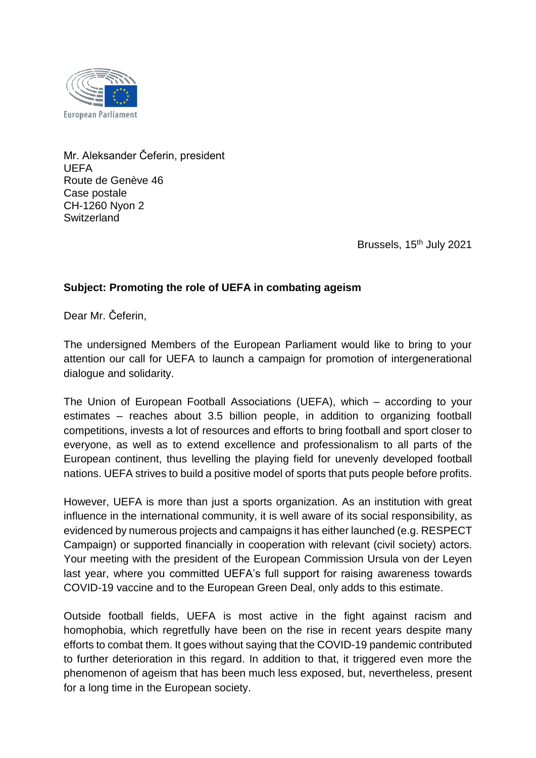

Mr. Aleksander Čeferin, president UEFA Route de Genève 46 Case postale CH-1260 Nyon 2 **Switzerland** 

Brussels, 15<sup>th</sup> July 2021

## **Subject: Promoting the role of UEFA in combating ageism**

Dear Mr. Čeferin,

The undersigned Members of the European Parliament would like to bring to your attention our call for UEFA to launch a campaign for promotion of intergenerational dialogue and solidarity.

The Union of European Football Associations (UEFA), which – according to your estimates – reaches about 3.5 billion people, in addition to organizing football competitions, invests a lot of resources and efforts to bring football and sport closer to everyone, as well as to extend excellence and professionalism to all parts of the European continent, thus levelling the playing field for unevenly developed football nations. UEFA strives to build a positive model of sports that puts people before profits.

However, UEFA is more than just a sports organization. As an institution with great influence in the international community, it is well aware of its social responsibility, as evidenced by numerous projects and campaigns it has either launched (e.g. RESPECT Campaign) or supported financially in cooperation with relevant (civil society) actors. Your meeting with the president of the European Commission Ursula von der Leyen last year, where you committed UEFA's full support for raising awareness towards COVID*-*19 vaccine and to the [European Green Deal,](https://ec.europa.eu/info/strategy/priorities-2019-2024/european-green-deal_en) only adds to this estimate.

Outside football fields, UEFA is most active in the fight against racism and homophobia, which regretfully have been on the rise in recent years despite many efforts to combat them. It goes without saying that the COVID-19 pandemic contributed to further deterioration in this regard. In addition to that, it triggered even more the phenomenon of ageism that has been much less exposed, but, nevertheless, present for a long time in the European society.